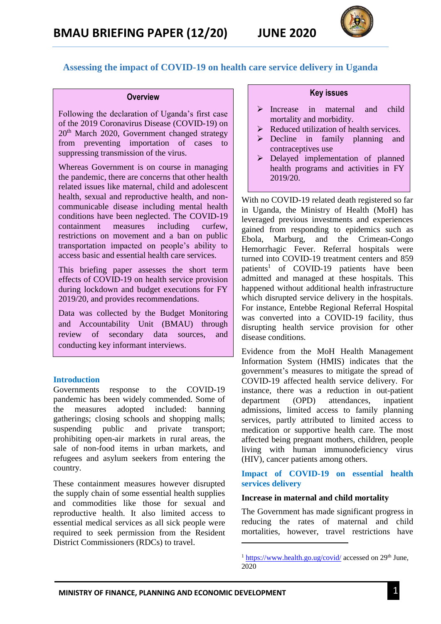

# **Assessing the impact of COVID-19 on health care service delivery in Uganda**

#### **Overview**

Following the declaration of Uganda's first case of the 2019 Coronavirus Disease (COVID-19) on  $20<sup>th</sup>$  March 2020, Government changed strategy from preventing importation of cases to suppressing transmission of the virus.

Whereas Government is on course in managing the pandemic, there are concerns that other health related issues like maternal, child and adolescent health, sexual and reproductive health, and noncommunicable disease including mental health conditions have been neglected. The COVID-19 containment measures including curfew, restrictions on movement and a ban on public transportation impacted on people's ability to access basic and essential health care services.

This briefing paper assesses the short term effects of COVID-19 on health service provision during lockdown and budget executions for FY 2019/20, and provides recommendations.

Data was collected by the Budget Monitoring and Accountability Unit (BMAU) through review of secondary data sources, and conducting key informant interviews.

#### **Introduction**

Governments response to the COVID-19 pandemic has been widely commended. Some of the measures adopted included: banning gatherings; closing schools and shopping malls; suspending public and private transport; prohibiting open-air markets in rural areas, the sale of non-food items in urban markets, and refugees and asylum seekers from entering the country.

These containment measures however disrupted the supply chain of some essential health supplies and commodities like those for sexual and reproductive health. It also limited access to essential medical services as all sick people were required to seek permission from the Resident District Commissioners (RDCs) to travel.

## **Key issues**

- $\triangleright$  Increase in maternal and child mortality and morbidity.
- $\triangleright$  Reduced utilization of health services.
- $\triangleright$  Decline in family planning and contraceptives use
- Delayed implementation of planned health programs and activities in FY 2019/20.

With no COVID-19 related death registered so far in Uganda, the Ministry of Health (MoH) has leveraged previous investments and experiences gained from responding to epidemics such as Ebola, Marburg, and the Crimean-Congo Hemorrhagic Fever. Referral hospitals were turned into COVID-19 treatment centers and 859 patients<sup>1</sup> of COVID-19 patients have been admitted and managed at these hospitals. This happened without additional health infrastructure which disrupted service delivery in the hospitals. For instance, Entebbe Regional Referral Hospital was converted into a COVID-19 facility, thus disrupting health service provision for other disease conditions.

Evidence from the MoH Health Management Information System (HMIS) indicates that the government's measures to mitigate the spread of COVID-19 affected health service delivery. For instance, there was a reduction in out-patient department (OPD) attendances, inpatient admissions, limited access to family planning services, partly attributed to limited access to medication or supportive health care. The most affected being pregnant mothers, children, people living with human immunodeficiency virus (HIV), cancer patients among others.

**Impact of COVID-19 on essential health services delivery** 

#### **Increase in maternal and child mortality**

The Government has made significant progress in reducing the rates of maternal and child mortalities, however, travel restrictions have

**.** 

 $1 \text{ https://www.health.gov.ug/covid/ accessed on } 29 \text{th June.}$ 2020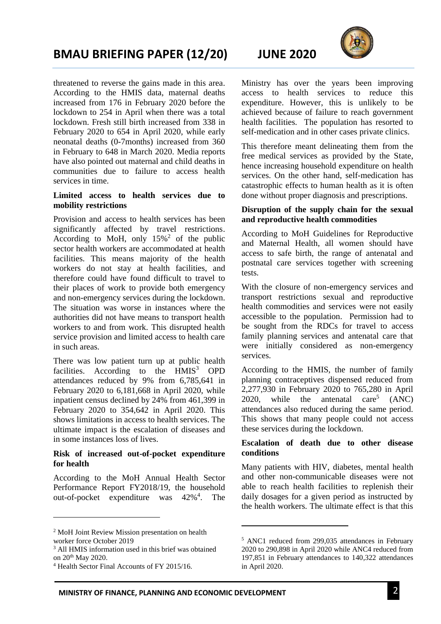# **BMAU BRIEFING PAPER (12/20) JUNE 2020**

threatened to reverse the gains made in this area. According to the HMIS data, maternal deaths increased from 176 in February 2020 before the lockdown to 254 in April when there was a total lockdown. Fresh still birth increased from 338 in February 2020 to 654 in April 2020, while early neonatal deaths (0-7months) increased from 360 in February to 648 in March 2020. Media reports have also pointed out maternal and child deaths in communities due to failure to access health services in time.

#### **Limited access to health services due to mobility restrictions**

Provision and access to health services has been significantly affected by travel restrictions. According to MoH, only  $15\%$ <sup>2</sup> of the public sector health workers are accommodated at health facilities. This means majority of the health workers do not stay at health facilities, and therefore could have found difficult to travel to their places of work to provide both emergency and non-emergency services during the lockdown. The situation was worse in instances where the authorities did not have means to transport health workers to and from work. This disrupted health service provision and limited access to health care in such areas.

There was low patient turn up at public health facilities. According to the  $H MIS<sup>3</sup>$  OPD attendances reduced by 9% from 6,785,641 in February 2020 to 6,181,668 in April 2020, while inpatient census declined by 24% from 461,399 in February 2020 to 354,642 in April 2020. This shows limitations in access to health services. The ultimate impact is the escalation of diseases and in some instances loss of lives.

## **Risk of increased out-of-pocket expenditure for health**

According to the MoH Annual Health Sector Performance Report FY2018/19, the household out-of-pocket expenditure was 42%<sup>4</sup> . The

**.** 





Ministry has over the years been improving access to health services to reduce this expenditure. However, this is unlikely to be achieved because of failure to reach government health facilities. The population has resorted to self-medication and in other cases private clinics.

This therefore meant delineating them from the free medical services as provided by the State, hence increasing household expenditure on health services. On the other hand, self-medication has catastrophic effects to human health as it is often done without proper diagnosis and prescriptions.

# **Disruption of the supply chain for the sexual and reproductive health commodities**

According to MoH Guidelines for Reproductive and Maternal Health, all women should have access to safe birth, the range of antenatal and postnatal care services together with screening tests.

With the closure of non-emergency services and transport restrictions sexual and reproductive health commodities and services were not easily accessible to the population. Permission had to be sought from the RDCs for travel to access family planning services and antenatal care that were initially considered as non-emergency services.

According to the HMIS, the number of family planning contraceptives dispensed reduced from 2,277,930 in February 2020 to 765,280 in April 2020, while the antenatal care<sup>5</sup> (ANC) attendances also reduced during the same period. This shows that many people could not access these services during the lockdown.

## **Escalation of death due to other disease conditions**

Many patients with HIV, diabetes, mental health and other non-communicable diseases were not able to reach health facilities to replenish their daily dosages for a given period as instructed by the health workers. The ultimate effect is that this

 $\overline{\phantom{a}}$ 

<sup>2</sup> MoH Joint Review Mission presentation on health worker force October 2019

<sup>3</sup> All HMIS information used in this brief was obtained on 20th May 2020.

<sup>4</sup> Health Sector Final Accounts of FY 2015/16.

<sup>5</sup> ANC1 reduced from 299,035 attendances in February 2020 to 290,898 in April 2020 while ANC4 reduced from 197,851 in February attendances to 140,322 attendances in April 2020.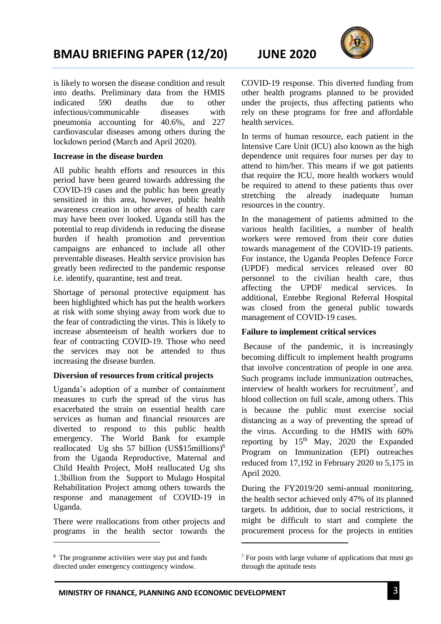# **BMAU BRIEFING PAPER (12/20) JUNE 2020**

is likely to worsen the disease condition and result into deaths. Preliminary data from the HMIS indicated 590 deaths due to other infectious/communicable diseases with pneumonia accounting for 40.6%, and 227 cardiovascular diseases among others during the lockdown period (March and April 2020).

## **Increase in the disease burden**

All public health efforts and resources in this period have been geared towards addressing the COVID-19 cases and the public has been greatly sensitized in this area, however, public health awareness creation in other areas of health care may have been over looked. Uganda still has the potential to reap dividends in reducing the disease burden if health promotion and prevention campaigns are enhanced to include all other preventable diseases. Health service provision has greatly been redirected to the pandemic response i.e. identify, quarantine, test and treat.

Shortage of personal protective equipment has been highlighted which has put the health workers at risk with some shying away from work due to the fear of contradicting the virus. This is likely to increase absenteeism of health workers due to fear of contracting COVID-19. Those who need the services may not be attended to thus increasing the disease burden.

# **Diversion of resources from critical projects**

Uganda's adoption of a number of containment measures to curb the spread of the virus has exacerbated the strain on essential health care services as human and financial resources are diverted to respond to this public health emergency. The World Bank for example reallocated Ug shs 57 billion (US\$15millions)<sup>6</sup> from the Uganda Reproductive, Maternal and Child Health Project, MoH reallocated Ug shs 1.3billion from the Support to Mulago Hospital Rehabilitation Project among others towards the response and management of COVID-19 in Uganda.

There were reallocations from other projects and programs in the health sector towards the

**.** 



COVID-19 response. This diverted funding from other health programs planned to be provided under the projects, thus affecting patients who rely on these programs for free and affordable health services.

In terms of human resource, each patient in the Intensive Care Unit (ICU) also known as the high dependence unit requires four nurses per day to attend to him/her. This means if we got patients that require the ICU, more health workers would be required to attend to these patients thus over stretching the already inadequate human resources in the country.

In the management of patients admitted to the various health facilities, a number of health workers were removed from their core duties towards management of the COVID-19 patients. For instance, the Uganda Peoples Defence Force (UPDF) medical services released over 80 personnel to the civilian health care, thus affecting the UPDF medical services. In additional, Entebbe Regional Referral Hospital was closed from the general public towards management of COVID-19 cases.

# **Failure to implement critical services**

Because of the pandemic, it is increasingly becoming difficult to implement health programs that involve concentration of people in one area. Such programs include immunization outreaches, interview of health workers for recruitment<sup>7</sup>, and blood collection on full scale, among others. This is because the public must exercise social distancing as a way of preventing the spread of the virus. According to the HMIS with 60% reporting by  $15<sup>th</sup>$  May, 2020 the Expanded Program on Immunization (EPI) outreaches reduced from 17,192 in February 2020 to 5,175 in April 2020.

During the FY2019/20 semi-annual monitoring, the health sector achieved only 47% of its planned targets. In addition, due to social restrictions, it might be difficult to start and complete the procurement process for the projects in entities

**.** 

<sup>6</sup> The programme activities were stay put and funds directed under emergency contingency window.

 $7$  For posts with large volume of applications that must go through the aptitude tests